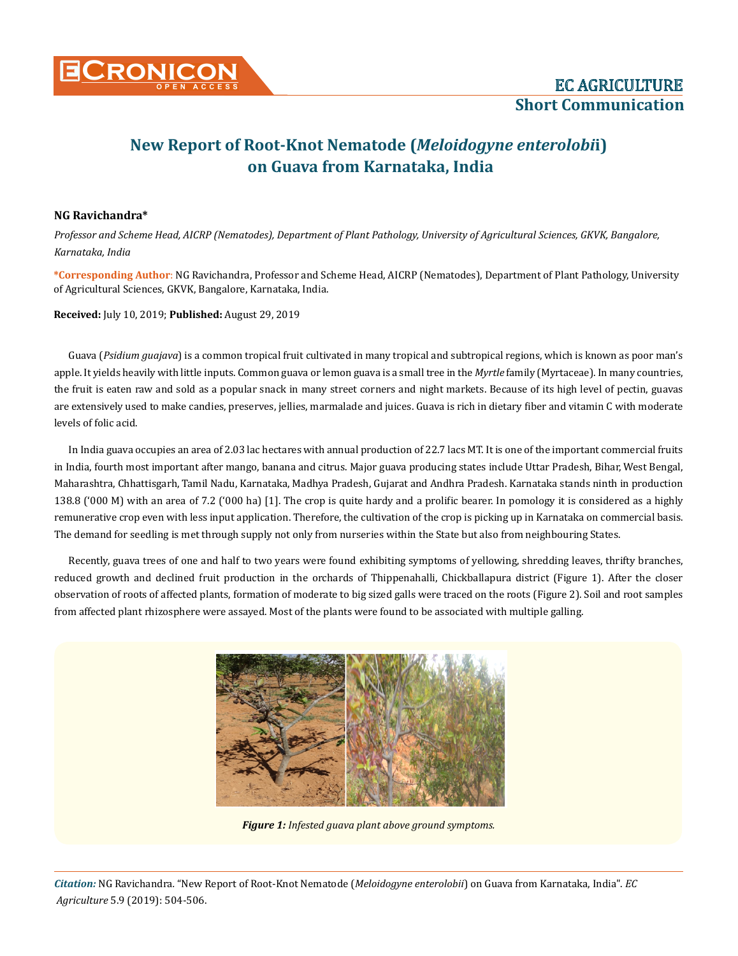

## **New Report of Root-Knot Nematode (***Meloidogyne enterolobi***i) on Guava from Karnataka, India**

## **NG Ravichandra\***

*Professor and Scheme Head, AICRP (Nematodes), Department of Plant Pathology, University of Agricultural Sciences, GKVK, Bangalore, Karnataka, India*

**\*Corresponding Author**: NG Ravichandra, Professor and Scheme Head, AICRP (Nematodes), Department of Plant Pathology, University of Agricultural Sciences, GKVK, Bangalore, Karnataka, India.

**Received:** July 10, 2019; **Published:** August 29, 2019

Guava (*Psidium guajava*) is a common [tropical fruit](https://en.wikipedia.org/wiki/Tropical_fruits) cultivated in many tropical and subtropical regions, which is known as poor man's apple. It yields heavily with little inputs. Common guava or lemon guava is a small tree in the *Myrtle* [family](https://en.wikipedia.org/wiki/Family_(biology)) [\(Myrtaceae\)](https://en.wikipedia.org/wiki/Myrtaceae). In many countries, the fruit is eaten raw and sold as a popular snack in many street corners and night markets. Because of its high level of [pectin](https://en.wikipedia.org/wiki/Pectin), guavas are extensively used to make candies, preserves, jellies, marmalade and juices. Guava is rich in dietary fiber and vitamin C with moderate levels of folic acid.

In India guava occupies an area of 2.03 lac hectares with annual production of 22.7 lacs MT. It is one of the important commercial fruits in India, fourth most important after mango, banana and citrus. Major guava producing states include Uttar Pradesh, Bihar, West Bengal, Maharashtra, Chhattisgarh, Tamil Nadu, Karnataka, Madhya Pradesh, Gujarat and Andhra Pradesh. Karnataka stands ninth in production 138.8 ('000 M) with an area of 7.2 ('000 ha) [1]. The crop is quite hardy and a prolific bearer. In pomology it is considered as a highly remunerative crop even with less input application. Therefore, the cultivation of the crop is picking up in Karnataka on commercial basis. The demand for seedling is met through supply not only from nurseries within the State but also from neighbouring States.

Recently, guava trees of one and half to two years were found exhibiting symptoms of yellowing, shredding leaves, thrifty branches, reduced growth and declined fruit production in the orchards of Thippenahalli, Chickballapura district (Figure 1). After the closer observation of roots of affected plants, formation of moderate to big sized galls were traced on the roots (Figure 2). Soil and root samples from affected plant rhizosphere were assayed. Most of the plants were found to be associated with multiple galling.



*Figure 1: Infested guava plant above ground symptoms.*

*Citation:* NG Ravichandra*.* "New Report of Root-Knot Nematode (*Meloidogyne enterolobii*) on Guava from Karnataka, India". *EC Agriculture* 5.9 (2019): 504-506.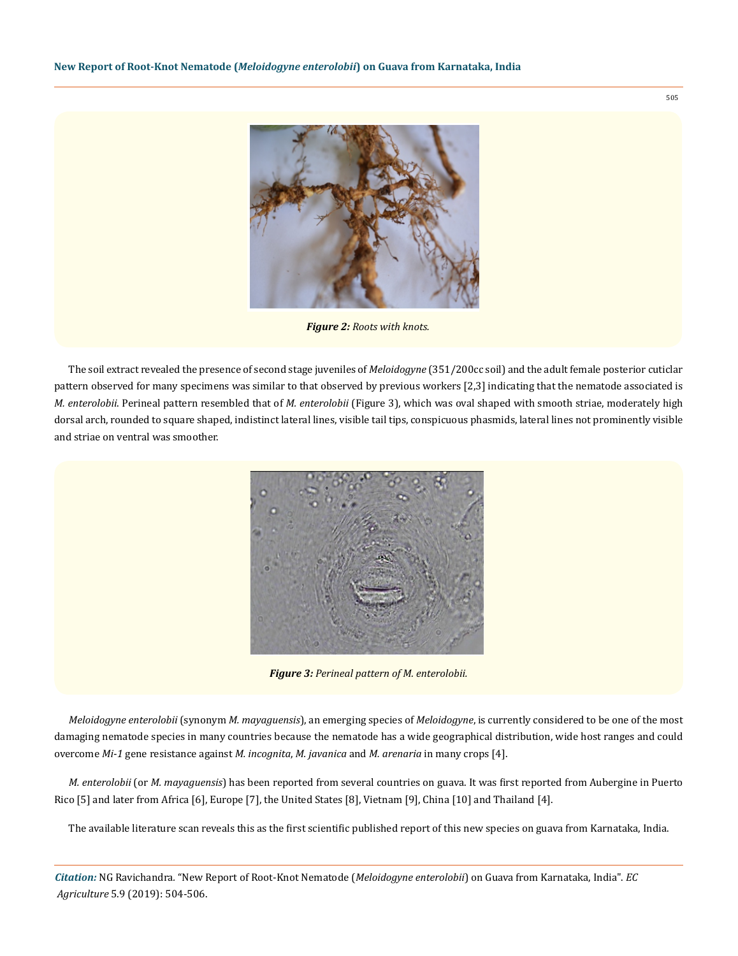

*Figure 2: Roots with knots.* 

The soil extract revealed the presence of second stage juveniles of *Meloidogyne* (351/200cc soil) and the adult female posterior cuticlar pattern observed for many specimens was similar to that observed by previous workers [2,3] indicating that the nematode associated is *M. enterolobii*. Perineal pattern resembled that of *M. enterolobii* (Figure 3), which was oval shaped with smooth striae, moderately high dorsal arch, rounded to square shaped, indistinct lateral lines, visible tail tips, conspicuous phasmids, lateral lines not prominently visible and striae on ventral was smoother.



*Figure 3: Perineal pattern of M. enterolobii.*

*Meloidogyne enterolobii* (synonym *M. mayaguensis*), an emerging species of *Meloidogyne*, is currently considered to be one of the most damaging nematode species in many countries because the nematode has a wide geographical distribution, wide host ranges and could overcome *Mi*-*1* gene resistance against *M. incognita*, *M. javanica* and *M. arenaria* in many crops [4].

*M. enterolobii* (or *M. mayaguensis*) has been reported from several countries on guava. It was first reported from Aubergine in Puerto Rico [5] and later from Africa [6], Europe [7], the United States [8], Vietnam [9], China [10] and Thailand [4].

The available literature scan reveals this as the first scientific published report of this new species on guava from Karnataka, India.

*Citation:* NG Ravichandra*.* "New Report of Root-Knot Nematode (*Meloidogyne enterolobii*) on Guava from Karnataka, India". *EC Agriculture* 5.9 (2019): 504-506.

505